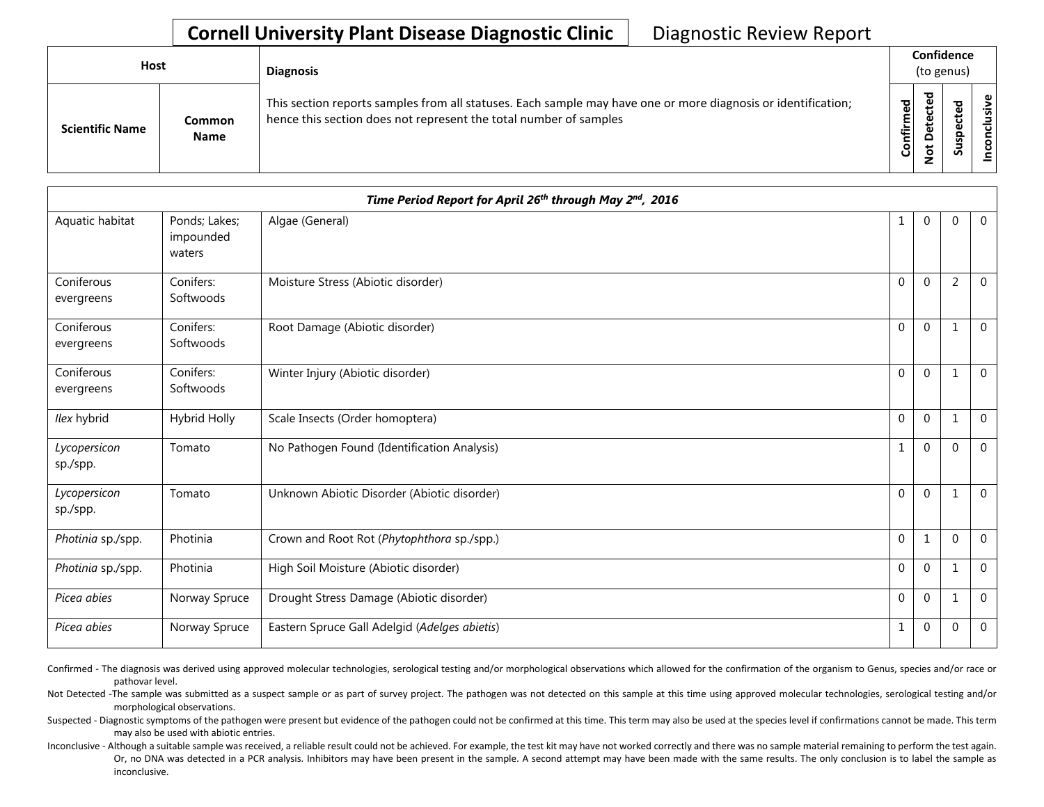## **Cornell University Plant Disease Diagnostic Clinic** | Diagnostic Review Report

| <b>Host</b>            |                       | <b>Diagnosis</b>                                                                                                                                                                   |           |                             | Confidence<br>(to genus) |                 |
|------------------------|-----------------------|------------------------------------------------------------------------------------------------------------------------------------------------------------------------------------|-----------|-----------------------------|--------------------------|-----------------|
| <b>Scientific Name</b> | Common<br><b>Name</b> | This section reports samples from all statuses. Each sample may have one or more diagnosis or identification;<br>hence this section does not represent the total number of samples | Confirmed | ъ<br>Φ<br>سه<br>Δ<br>پ<br>– | ທ                        | ω<br>usiv<br>᠊ᠣ |

|                          |                                      | Time Period Report for April 26th through May 2nd, 2016 |                  |                  |                |                |
|--------------------------|--------------------------------------|---------------------------------------------------------|------------------|------------------|----------------|----------------|
| Aquatic habitat          | Ponds; Lakes;<br>impounded<br>waters | Algae (General)                                         | 1                | $\mathbf{0}$     | $\mathbf{0}$   | $\overline{0}$ |
| Coniferous<br>evergreens | Conifers:<br>Softwoods               | Moisture Stress (Abiotic disorder)                      | $\mathbf 0$      | $\mathbf{0}$     | $\overline{2}$ | $\overline{0}$ |
| Coniferous<br>evergreens | Conifers:<br>Softwoods               | Root Damage (Abiotic disorder)                          | $\mathbf{0}$     | $\mathbf{0}$     | 1              | $\mathbf 0$    |
| Coniferous<br>evergreens | Conifers:<br>Softwoods               | Winter Injury (Abiotic disorder)                        | $\pmb{0}$        | $\mathbf 0$      | $\mathbf{1}$   | $\Omega$       |
| Ilex hybrid              | Hybrid Holly                         | Scale Insects (Order homoptera)                         | $\boldsymbol{0}$ | $\boldsymbol{0}$ | $\mathbf{1}$   | 0              |
| Lycopersicon<br>sp./spp. | Tomato                               | No Pathogen Found (Identification Analysis)             | $\mathbf 1$      | $\overline{0}$   | $\mathbf{0}$   | $\mathbf 0$    |
| Lycopersicon<br>sp./spp. | Tomato                               | Unknown Abiotic Disorder (Abiotic disorder)             | $\boldsymbol{0}$ | $\boldsymbol{0}$ | $\mathbf{1}$   | $\overline{0}$ |
| Photinia sp./spp.        | Photinia                             | Crown and Root Rot (Phytophthora sp./spp.)              | $\boldsymbol{0}$ | 1                | $\mathbf{0}$   | $\mathbf 0$    |
| Photinia sp./spp.        | Photinia                             | High Soil Moisture (Abiotic disorder)                   | $\pmb{0}$        | $\mathbf{0}$     | 1              | $\Omega$       |
| Picea abies              | Norway Spruce                        | Drought Stress Damage (Abiotic disorder)                | 0                | $\pmb{0}$        | $\mathbf{1}$   | $\mathbf 0$    |
| Picea abies              | Norway Spruce                        | Eastern Spruce Gall Adelgid (Adelges abietis)           | $\mathbf 1$      | $\mathbf{0}$     | $\mathbf{0}$   | $\mathbf 0$    |

Confirmed - The diagnosis was derived using approved molecular technologies, serological testing and/or morphological observations which allowed for the confirmation of the organism to Genus, species and/or race or pathovar level.

Not Detected -The sample was submitted as a suspect sample or as part of survey project. The pathogen was not detected on this sample at this time using approved molecular technologies, serological testing and/or morphological observations.

Suspected - Diagnostic symptoms of the pathogen were present but evidence of the pathogen could not be confirmed at this time. This term may also be used at the species level if confirmations cannot be made. This term may also be used with abiotic entries.

Inconclusive - Although a suitable sample was received, a reliable result could not be achieved. For example, the test kit may have not worked correctly and there was no sample material remaining to perform the test again. Or, no DNA was detected in a PCR analysis. Inhibitors may have been present in the sample. A second attempt may have been made with the same results. The only conclusion is to label the sample as inconclusive.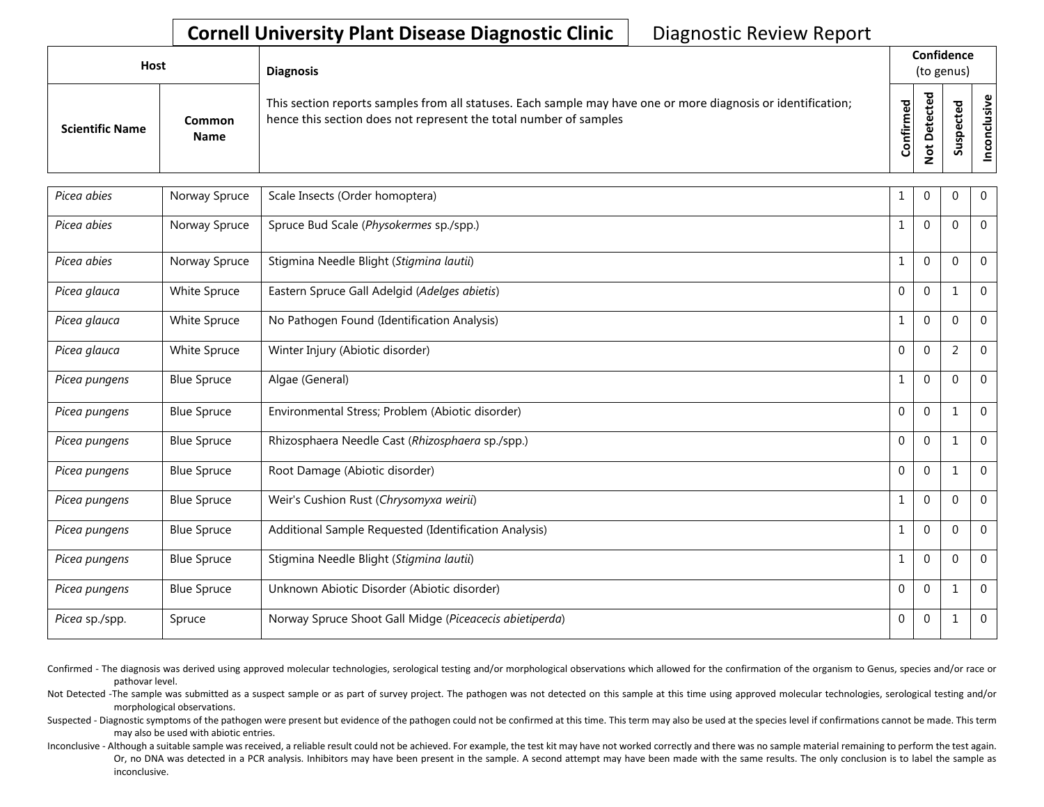## **Cornell University Plant Disease Diagnostic Clinic** | Diagnostic Review Report

| Host                   |                              | <b>Diagnosis</b>                                                                                                                                                                   |                    | Confidence<br>(to genus) |                                        |                                 |
|------------------------|------------------------------|------------------------------------------------------------------------------------------------------------------------------------------------------------------------------------|--------------------|--------------------------|----------------------------------------|---------------------------------|
| <b>Scientific Name</b> | <b>Common</b><br><b>Name</b> | This section reports samples from all statuses. Each sample may have one or more diagnosis or identification;<br>hence this section does not represent the total number of samples | ਠ<br>ω<br>Confirme | ъ<br>$\Omega$<br>۰       | ъ<br>ω<br>ω<br>௨<br><b>S</b><br>∍<br>n | $\mathbf \omega$<br>g<br>۰<br>ပ |

| Picea abies    | Norway Spruce      | Scale Insects (Order homoptera)                         | 1            | 0            | 0              | $\overline{0}$ |
|----------------|--------------------|---------------------------------------------------------|--------------|--------------|----------------|----------------|
| Picea abies    | Norway Spruce      | Spruce Bud Scale (Physokermes sp./spp.)                 | 1            | $\mathbf{0}$ | $\Omega$       | $\Omega$       |
| Picea abies    | Norway Spruce      | Stigmina Needle Blight (Stigmina lautii)                | $\mathbf{1}$ | $\mathbf 0$  | $\Omega$       | $\mathbf{0}$   |
| Picea glauca   | White Spruce       | Eastern Spruce Gall Adelgid (Adelges abietis)           | $\mathbf{0}$ | $\mathbf{0}$ | $\mathbf 1$    | $\overline{0}$ |
| Picea glauca   | White Spruce       | No Pathogen Found (Identification Analysis)             | 1            | 0            | $\Omega$       | $\mathbf 0$    |
| Picea glauca   | White Spruce       | Winter Injury (Abiotic disorder)                        | $\Omega$     | $\mathbf{0}$ | $\overline{2}$ | $\mathbf 0$    |
| Picea pungens  | <b>Blue Spruce</b> | Algae (General)                                         | $\mathbf{1}$ | $\mathbf 0$  | $\mathbf{0}$   | $\mathbf 0$    |
| Picea pungens  | <b>Blue Spruce</b> | Environmental Stress; Problem (Abiotic disorder)        | $\Omega$     | $\mathbf{0}$ |                | $\mathbf 0$    |
| Picea pungens  | <b>Blue Spruce</b> | Rhizosphaera Needle Cast (Rhizosphaera sp./spp.)        | $\mathbf{0}$ | $\mathbf{0}$ | $\mathbf 1$    | $\mathbf{0}$   |
| Picea pungens  | <b>Blue Spruce</b> | Root Damage (Abiotic disorder)                          | $\mathbf 0$  | $\mathbf 0$  | $\mathbf 1$    | $\mathbf 0$    |
| Picea pungens  | <b>Blue Spruce</b> | Weir's Cushion Rust (Chrysomyxa weirii)                 | $\mathbf{1}$ | $\mathbf{0}$ | $\Omega$       | $\mathbf 0$    |
| Picea pungens  | <b>Blue Spruce</b> | Additional Sample Requested (Identification Analysis)   | 1            | $\mathbf 0$  | $\mathbf 0$    | $\overline{0}$ |
| Picea pungens  | <b>Blue Spruce</b> | Stigmina Needle Blight (Stigmina lautii)                | $\mathbf{1}$ | $\mathbf{0}$ | $\Omega$       | $\mathbf 0$    |
| Picea pungens  | <b>Blue Spruce</b> | Unknown Abiotic Disorder (Abiotic disorder)             | $\mathbf{0}$ | $\mathbf{0}$ | 1              | $\mathbf 0$    |
| Picea sp./spp. | Spruce             | Norway Spruce Shoot Gall Midge (Piceacecis abietiperda) | $\mathbf{0}$ | $\mathbf 0$  | $\mathbf{1}$   | $\mathbf 0$    |

- Confirmed The diagnosis was derived using approved molecular technologies, serological testing and/or morphological observations which allowed for the confirmation of the organism to Genus, species and/or race or pathovar level.
- Not Detected -The sample was submitted as a suspect sample or as part of survey project. The pathogen was not detected on this sample at this time using approved molecular technologies, serological testing and/or morphological observations.
- Suspected Diagnostic symptoms of the pathogen were present but evidence of the pathogen could not be confirmed at this time. This term may also be used at the species level if confirmations cannot be made. This term may also be used with abiotic entries.
- Inconclusive Although a suitable sample was received, a reliable result could not be achieved. For example, the test kit may have not worked correctly and there was no sample material remaining to perform the test again. Or, no DNA was detected in a PCR analysis. Inhibitors may have been present in the sample. A second attempt may have been made with the same results. The only conclusion is to label the sample as inconclusive.